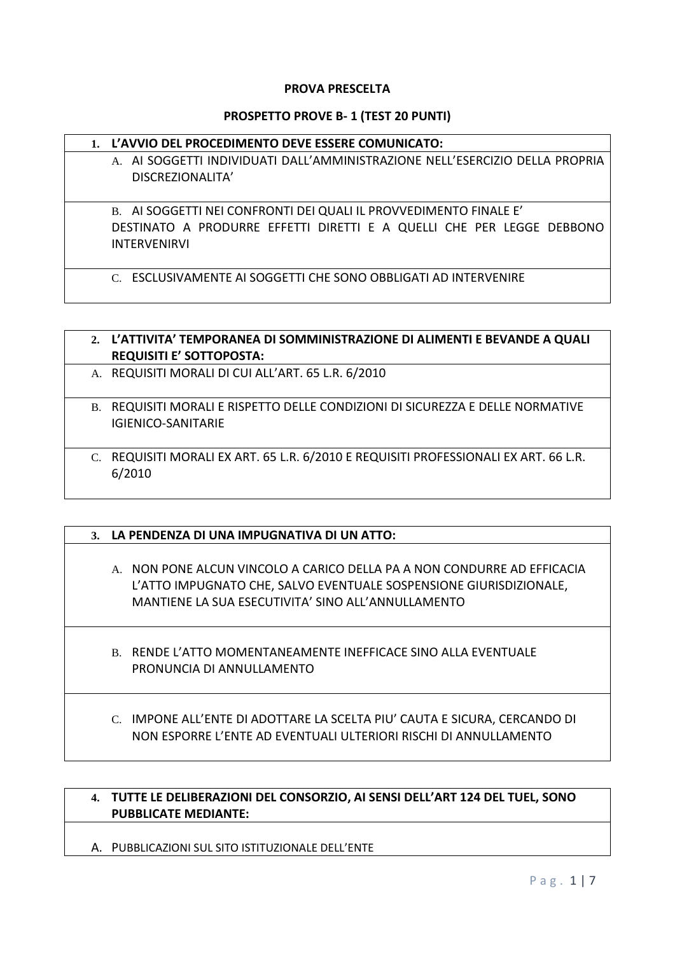#### **PROVA PRESCELTA**

#### **PROSPETTO PROVE B- 1 (TEST 20 PUNTI)**

#### **1. L'AVVIO DEL PROCEDIMENTO DEVE ESSERE COMUNICATO:**

A. AI SOGGETTI INDIVIDUATI DALL'AMMINISTRAZIONE NELL'ESERCIZIO DELLA PROPRIA DISCREZIONALITA'

B. AI SOGGETTI NEI CONFRONTI DEI QUALI IL PROVVEDIMENTO FINALE E' DESTINATO A PRODURRE EFFETTI DIRETTI E A QUELLI CHE PER LEGGE DEBBONO INTERVENIRVI

C. ESCLUSIVAMENTE AI SOGGETTI CHE SONO OBBLIGATI AD INTERVENIRE

# **2. L'ATTIVITA' TEMPORANEA DI SOMMINISTRAZIONE DI ALIMENTI E BEVANDE A QUALI REQUISITI E' SOTTOPOSTA:** A. REQUISITI MORALI DI CUI ALL'ART. 65 L.R. 6/2010 B. REQUISITI MORALI E RISPETTO DELLE CONDIZIONI DI SICUREZZA E DELLE NORMATIVE IGIENICO-SANITARIE C. REQUISITI MORALI EX ART. 65 L.R. 6/2010 E REQUISITI PROFESSIONALI EX ART. 66 L.R. 6/2010

#### **3. LA PENDENZA DI UNA IMPUGNATIVA DI UN ATTO:**

- A. NON PONE ALCUN VINCOLO A CARICO DELLA PA A NON CONDURRE AD EFFICACIA L'ATTO IMPUGNATO CHE, SALVO EVENTUALE SOSPENSIONE GIURISDIZIONALE, MANTIENE LA SUA ESECUTIVITA' SINO ALL'ANNULLAMENTO
- B. RENDE L'ATTO MOMENTANEAMENTE INEFFICACE SINO ALLA EVENTUALE PRONUNCIA DI ANNULLAMENTO
- C. IMPONE ALL'ENTE DI ADOTTARE LA SCELTA PIU' CAUTA E SICURA, CERCANDO DI NON ESPORRE L'ENTE AD EVENTUALI ULTERIORI RISCHI DI ANNULLAMENTO

### **4. TUTTE LE DELIBERAZIONI DEL CONSORZIO, AI SENSI DELL'ART 124 DEL TUEL, SONO PUBBLICATE MEDIANTE:**

A. PUBBLICAZIONI SUL SITO ISTITUZIONALE DELL'ENTE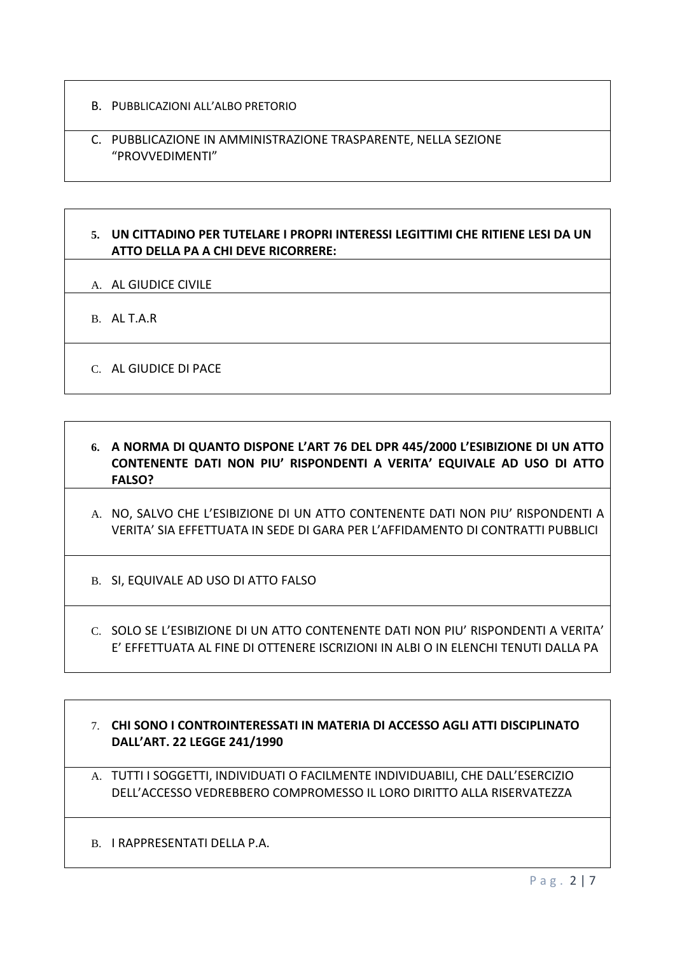- B. PUBBLICAZIONI ALL'ALBO PRETORIO
- C. PUBBLICAZIONE IN AMMINISTRAZIONE TRASPARENTE, NELLA SEZIONE "PROVVEDIMENTI"

# **5. UN CITTADINO PER TUTELARE I PROPRI INTERESSI LEGITTIMI CHE RITIENE LESI DA UN ATTO DELLA PA A CHI DEVE RICORRERE:**

- A. AL GIUDICE CIVILE
- B. AL T.A.R
- C. AL GIUDICE DI PACE
- **6. A NORMA DI QUANTO DISPONE L'ART 76 DEL DPR 445/2000 L'ESIBIZIONE DI UN ATTO CONTENENTE DATI NON PIU' RISPONDENTI A VERITA' EQUIVALE AD USO DI ATTO FALSO?**
- A. NO, SALVO CHE L'ESIBIZIONE DI UN ATTO CONTENENTE DATI NON PIU' RISPONDENTI A VERITA' SIA EFFETTUATA IN SEDE DI GARA PER L'AFFIDAMENTO DI CONTRATTI PUBBLICI
- B. SI, EQUIVALE AD USO DI ATTO FALSO
- C. SOLO SE L'ESIBIZIONE DI UN ATTO CONTENENTE DATI NON PIU' RISPONDENTI A VERITA' E' EFFETTUATA AL FINE DI OTTENERE ISCRIZIONI IN ALBI O IN ELENCHI TENUTI DALLA PA

# 7. **CHI SONO I CONTROINTERESSATI IN MATERIA DI ACCESSO AGLI ATTI DISCIPLINATO DALL'ART. 22 LEGGE 241/1990**

A. TUTTI I SOGGETTI, INDIVIDUATI O FACILMENTE INDIVIDUABILI, CHE DALL'ESERCIZIO DELL'ACCESSO VEDREBBERO COMPROMESSO IL LORO DIRITTO ALLA RISERVATEZZA

B. I RAPPRESENTATI DELLA P.A.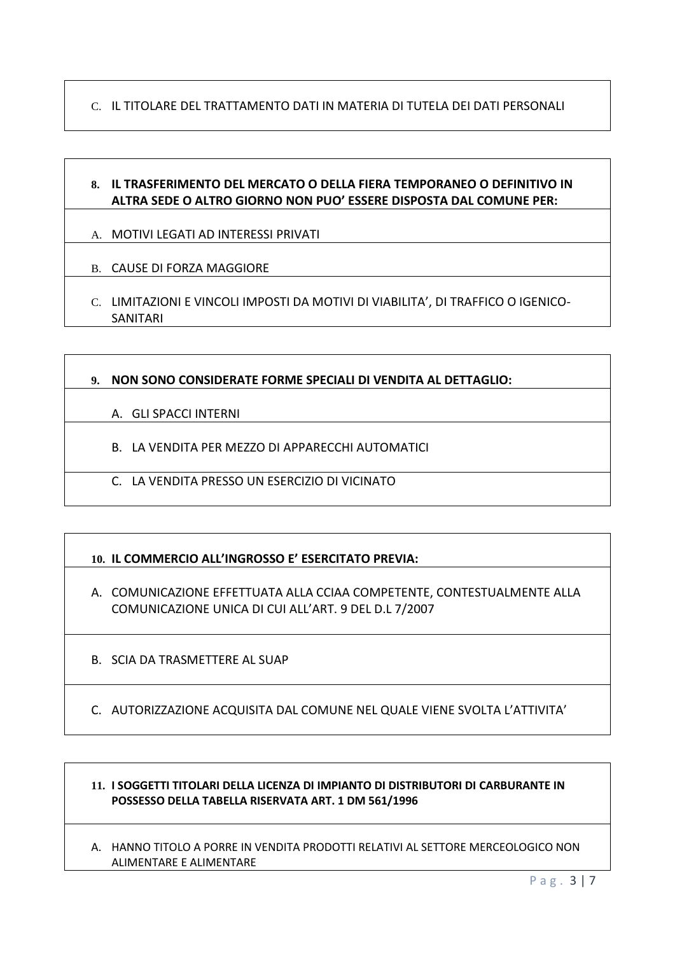C. IL TITOLARE DEL TRATTAMENTO DATI IN MATERIA DI TUTELA DEI DATI PERSONALI

# **8. IL TRASFERIMENTO DEL MERCATO O DELLA FIERA TEMPORANEO O DEFINITIVO IN ALTRA SEDE O ALTRO GIORNO NON PUO' ESSERE DISPOSTA DAL COMUNE PER:**

- A. MOTIVI LEGATI AD INTERESSI PRIVATI
- B. CAUSE DI FORZA MAGGIORE
- C. LIMITAZIONI E VINCOLI IMPOSTI DA MOTIVI DI VIABILITA', DI TRAFFICO O IGENICO-SANITARI

## **9. NON SONO CONSIDERATE FORME SPECIALI DI VENDITA AL DETTAGLIO:**

- A. GLI SPACCI INTERNI
- B. LA VENDITA PER MEZZO DI APPARECCHI AUTOMATICI
- C. LA VENDITA PRESSO UN ESERCIZIO DI VICINATO

# **10. IL COMMERCIO ALL'INGROSSO E' ESERCITATO PREVIA:**

- A. COMUNICAZIONE EFFETTUATA ALLA CCIAA COMPETENTE, CONTESTUALMENTE ALLA COMUNICAZIONE UNICA DI CUI ALL'ART. 9 DEL D.L 7/2007
- B. SCIA DA TRASMETTERE AL SUAP
- C. AUTORIZZAZIONE ACQUISITA DAL COMUNE NEL QUALE VIENE SVOLTA L'ATTIVITA'

#### **11. I SOGGETTI TITOLARI DELLA LICENZA DI IMPIANTO DI DISTRIBUTORI DI CARBURANTE IN POSSESSO DELLA TABELLA RISERVATA ART. 1 DM 561/1996**

A. HANNO TITOLO A PORRE IN VENDITA PRODOTTI RELATIVI AL SETTORE MERCEOLOGICO NON ALIMENTARE E ALIMENTARE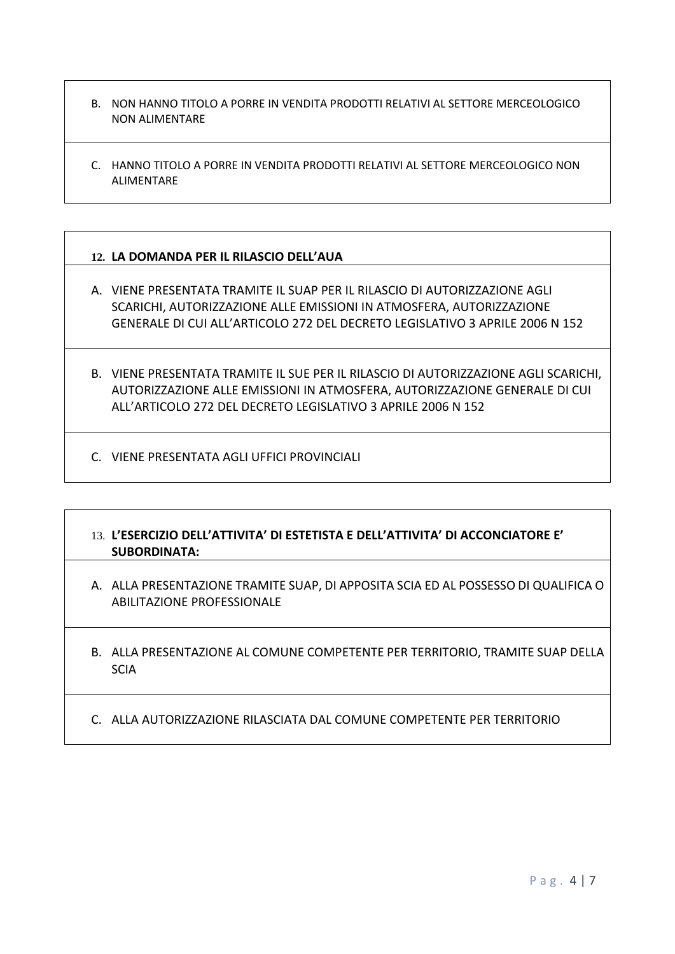- B. NON HANNO TITOLO A PORRE IN VENDITA PRODOTTI RELATIVI AL SETTORE MERCEOLOGICO NON ALIMENTARE
- C. HANNO TITOLO A PORRE IN VENDITA PRODOTTI RELATIVI AL SETTORE MERCEOLOGICO NON ALIMENTARE

## **12. LA DOMANDA PER IL RILASCIO DELL'AUA**

- A. VIENE PRESENTATA TRAMITE IL SUAP PER IL RILASCIO DI AUTORIZZAZIONE AGLI SCARICHI, AUTORIZZAZIONE ALLE EMISSIONI IN ATMOSFERA, AUTORIZZAZIONE GENERALE DI CUI ALL'ARTICOLO 272 DEL DECRETO LEGISLATIVO 3 APRILE 2006 N 152
- B. VIENE PRESENTATA TRAMITE IL SUE PER IL RILASCIO DI AUTORIZZAZIONE AGLI SCARICHI, AUTORIZZAZIONE ALLE EMISSIONI IN ATMOSFERA, AUTORIZZAZIONE GENERALE DI CUI ALL'ARTICOLO 272 DEL DECRETO LEGISLATIVO 3 APRILE 2006 N 152
- C. VIENE PRESENTATA AGLI UFFICI PROVINCIALI

## 13. **L'ESERCIZIO DELL'ATTIVITA' DI ESTETISTA E DELL'ATTIVITA' DI ACCONCIATORE E' SUBORDINATA:**

- A. ALLA PRESENTAZIONE TRAMITE SUAP, DI APPOSITA SCIA ED AL POSSESSO DI QUALIFICA O ABILITAZIONE PROFESSIONALE
- B. ALLA PRESENTAZIONE AL COMUNE COMPETENTE PER TERRITORIO, TRAMITE SUAP DELLA **SCIA**
- C. ALLA AUTORIZZAZIONE RILASCIATA DAL COMUNE COMPETENTE PER TERRITORIO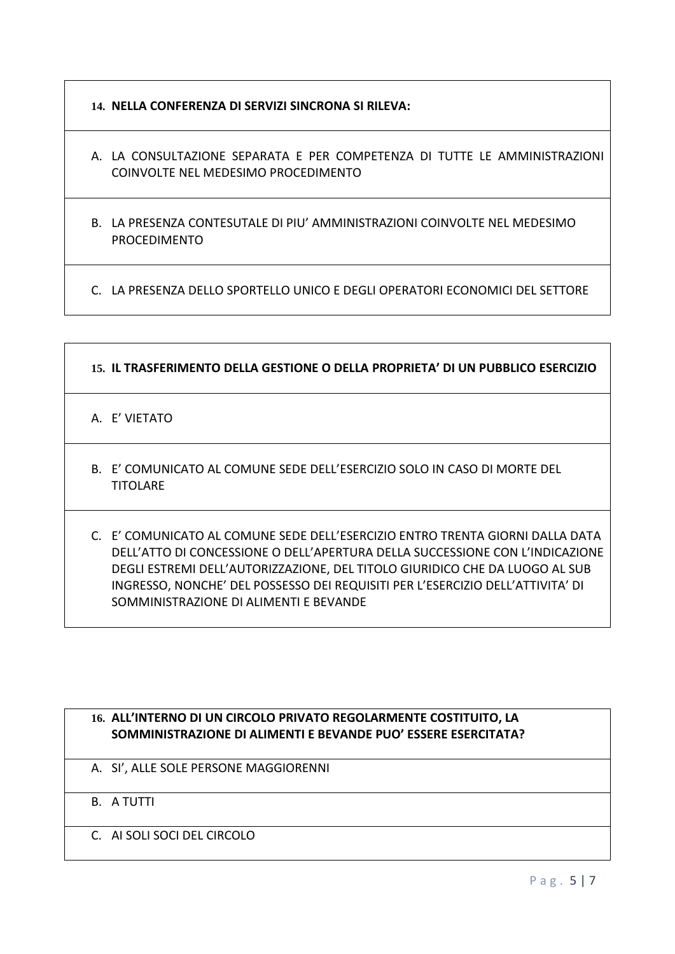- **14. NELLA CONFERENZA DI SERVIZI SINCRONA SI RILEVA:**
- A. LA CONSULTAZIONE SEPARATA E PER COMPETENZA DI TUTTE LE AMMINISTRAZIONI COINVOLTE NEL MEDESIMO PROCEDIMENTO
- B. LA PRESENZA CONTESUTALE DI PIU' AMMINISTRAZIONI COINVOLTE NEL MEDESIMO PROCEDIMENTO

C. LA PRESENZA DELLO SPORTELLO UNICO E DEGLI OPERATORI ECONOMICI DEL SETTORE

# **15. IL TRASFERIMENTO DELLA GESTIONE O DELLA PROPRIETA' DI UN PUBBLICO ESERCIZIO**

A. E' VIETATO

- B. E' COMUNICATO AL COMUNE SEDE DELL'ESERCIZIO SOLO IN CASO DI MORTE DEL **TITOLARE**
- C. E' COMUNICATO AL COMUNE SEDE DELL'ESERCIZIO ENTRO TRENTA GIORNI DALLA DATA DELL'ATTO DI CONCESSIONE O DELL'APERTURA DELLA SUCCESSIONE CON L'INDICAZIONE DEGLI ESTREMI DELL'AUTORIZZAZIONE, DEL TITOLO GIURIDICO CHE DA LUOGO AL SUB INGRESSO, NONCHE' DEL POSSESSO DEI REQUISITI PER L'ESERCIZIO DELL'ATTIVITA' DI SOMMINISTRAZIONE DI ALIMENTI E BEVANDE

## **16. ALL'INTERNO DI UN CIRCOLO PRIVATO REGOLARMENTE COSTITUITO, LA SOMMINISTRAZIONE DI ALIMENTI E BEVANDE PUO' ESSERE ESERCITATA?**

- A. SI', ALLE SOLE PERSONE MAGGIORENNI
- B. A TUTTI
- C. AI SOLI SOCI DEL CIRCOLO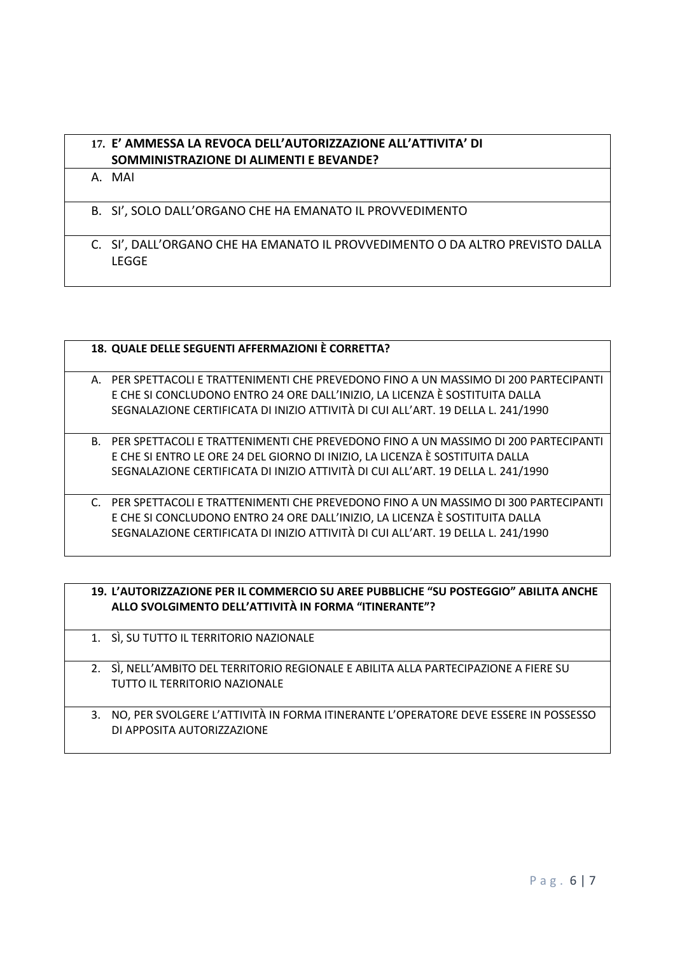# **17. E' AMMESSA LA REVOCA DELL'AUTORIZZAZIONE ALL'ATTIVITA' DI SOMMINISTRAZIONE DI ALIMENTI E BEVANDE?**

A. MAI

- B. SI', SOLO DALL'ORGANO CHE HA EMANATO IL PROVVEDIMENTO
- C. SI', DALL'ORGANO CHE HA EMANATO IL PROVVEDIMENTO O DA ALTRO PREVISTO DALLA LEGGE

| 18. QUALE DELLE SEGUENTI AFFERMAZIONI È CORRETTA?                                     |
|---------------------------------------------------------------------------------------|
|                                                                                       |
| A. PER SPETTACOLI E TRATTENIMENTI CHE PREVEDONO FINO A UN MASSIMO DI 200 PARTECIPANTI |
| E CHE SI CONCLUDONO ENTRO 24 ORE DALL'INIZIO, LA LICENZA È SOSTITUITA DALLA           |
| SEGNALAZIONE CERTIFICATA DI INIZIO ATTIVITÀ DI CUI ALL'ART. 19 DELLA L. 241/1990      |
|                                                                                       |
| B. PER SPETTACOLI E TRATTENIMENTI CHE PREVEDONO FINO A UN MASSIMO DI 200 PARTECIPANTI |
| E CHE SI ENTRO LE ORE 24 DEL GIORNO DI INIZIO, LA LICENZA È SOSTITUITA DALLA          |
| SEGNALAZIONE CERTIFICATA DI INIZIO ATTIVITÀ DI CUI ALL'ART. 19 DELLA L. 241/1990      |
|                                                                                       |
| C. PER SPETTACOLI E TRATTENIMENTI CHE PREVEDONO FINO A UN MASSIMO DI 300 PARTECIPANTI |
| E CHE SI CONCLUDONO ENTRO 24 ORE DALL'INIZIO, LA LICENZA È SOSTITUITA DALLA           |
| SEGNALAZIONE CERTIFICATA DI INIZIO ATTIVITÀ DI CUI ALL'ART. 19 DELLA L. 241/1990      |

|    | 19. L'AUTORIZZAZIONE PER IL COMMERCIO SU AREE PUBBLICHE "SU POSTEGGIO" ABILITA ANCHE<br>ALLO SVOLGIMENTO DELL'ATTIVITÀ IN FORMA "ITINERANTE"? |
|----|-----------------------------------------------------------------------------------------------------------------------------------------------|
|    | 1. SÌ, SU TUTTO IL TERRITORIO NAZIONALE                                                                                                       |
|    | 2. SÌ, NELL'AMBITO DEL TERRITORIO REGIONALE E ABILITA ALLA PARTECIPAZIONE A FIERE SU<br>TUTTO IL TERRITORIO NAZIONALE                         |
| 3. | NO, PER SVOLGERE L'ATTIVITÀ IN FORMA ITINERANTE L'OPERATORE DEVE ESSERE IN POSSESSO<br>DI APPOSITA AUTORIZZAZIONE                             |